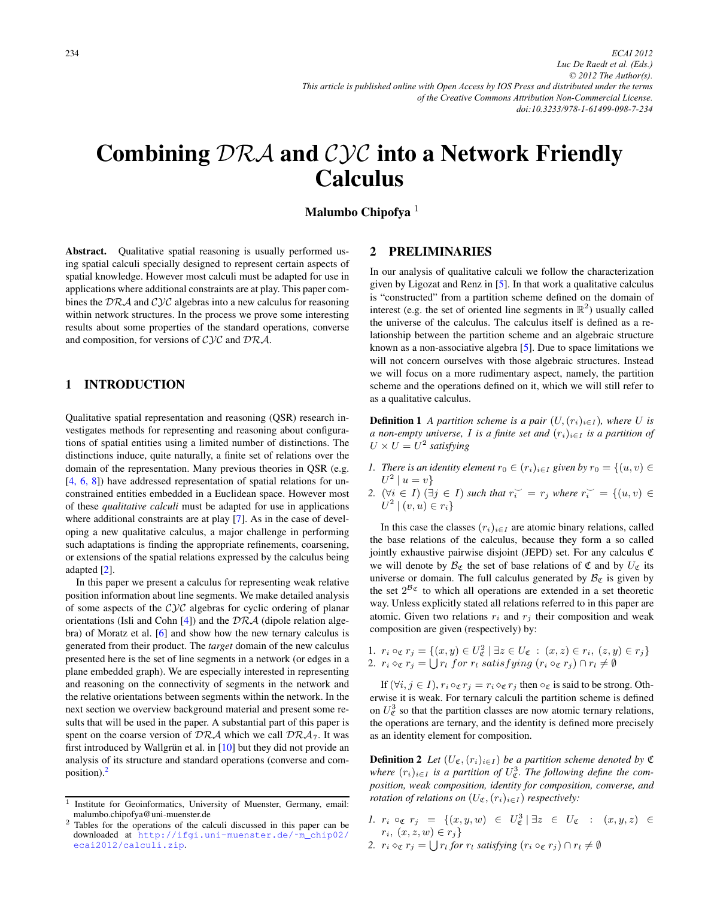# <span id="page-0-0"></span>Combining DRA and CYC into a Network Friendly Calculus

# Malumbo Chipofya $1$

Abstract. Qualitative spatial reasoning is usually performed using spatial calculi specially designed to represent certain aspects of spatial knowledge. However most calculi must be adapted for use in applications where additional constraints are at play. This paper combines the  $\mathcal{DRA}$  and  $\mathcal{CYC}$  algebras into a new calculus for reasoning within network structures. In the process we prove some interesting results about some properties of the standard operations, converse and composition, for versions of  $\mathcal{C} \mathcal{Y} \mathcal{C}$  and  $\mathcal{D} \mathcal{R} \mathcal{A}$ .

# 1 INTRODUCTION

Qualitative spatial representation and reasoning (QSR) research investigates methods for representing and reasoning about configurations of spatial entities using a limited number of distinctions. The distinctions induce, quite naturally, a finite set of relations over the domain of the representation. Many previous theories in QSR (e.g. [\[4, 6, 8\]](#page-5-0)) have addressed representation of spatial relations for unconstrained entities embedded in a Euclidean space. However most of these *qualitative calculi* must be adapted for use in applications where additional constraints are at play [\[7\]](#page-5-0). As in the case of developing a new qualitative calculus, a major challenge in performing such adaptations is finding the appropriate refinements, coarsening, or extensions of the spatial relations expressed by the calculus being adapted [\[2\]](#page-5-0).

In this paper we present a calculus for representing weak relative position information about line segments. We make detailed analysis of some aspects of the  $Cyc$  algebras for cyclic ordering of planar orientations (Isli and Cohn  $[4]$ ) and the  $DRA$  (dipole relation algebra) of Moratz et al. [\[6\]](#page-5-0) and show how the new ternary calculus is generated from their product. The *target* domain of the new calculus presented here is the set of line segments in a network (or edges in a plane embedded graph). We are especially interested in representing and reasoning on the connectivity of segments in the network and the relative orientations between segments within the network. In the next section we overview background material and present some results that will be used in the paper. A substantial part of this paper is spent on the coarse version of  $\mathcal{DRA}$  which we call  $\mathcal{DRA}_7$ . It was first introduced by Wallgrün et al. in  $[10]$  $[10]$  but they did not provide an analysis of its structure and standard operations (converse and composition). $<sup>2</sup>$ </sup>

#### 2 PRELIMINARIES

In our analysis of qualitative calculi we follow the characterization given by Ligozat and Renz in [\[5\]](#page-5-0). In that work a qualitative calculus is "constructed" from a partition scheme defined on the domain of interest (e.g. the set of oriented line segments in  $\mathbb{R}^2$ ) usually called the universe of the calculus. The calculus itself is defined as a relationship between the partition scheme and an algebraic structure known as a non-associative algebra [\[5\]](#page-5-0). Due to space limitations we will not concern ourselves with those algebraic structures. Instead we will focus on a more rudimentary aspect, namely, the partition scheme and the operations defined on it, which we will still refer to as a qualitative calculus.

**Definition 1** *A partition scheme is a pair*  $(U,(r_i)_{i\in I})$ *, where U is a non-empty universe,* I *is a finite set and*  $(r_i)_{i \in I}$  *is a partition of*  $U \times U = U^2$  *satisfying* 

- *1. There is an identity element*  $r_0 \in (r_i)_{i \in I}$  *given by*  $r_0 = \{(u, v) \in$  $U^2 | u = v$
- 2.  $(\forall i \in I)$   $(\exists j \in I)$  *such that*  $r_i^{\sim} = r_j$  *where*  $r_i^{\sim} = \{(u, v) \in I\}$  $U^2 | (v, u) \in r_i$

In this case the classes  $(r_i)_{i \in I}$  are atomic binary relations, called the base relations of the calculus, because they form a so called jointly exhaustive pairwise disjoint (JEPD) set. For any calculus C we will denote by  $\mathcal{B}_{\mathfrak{C}}$  the set of base relations of  $\mathfrak{C}$  and by  $U_{\mathfrak{C}}$  its universe or domain. The full calculus generated by  $B_{\mathfrak{C}}$  is given by the set  $2^{\mathcal{B}_{\mathfrak{C}}}$  to which all operations are extended in a set theoretic way. Unless explicitly stated all relations referred to in this paper are atomic. Given two relations  $r_i$  and  $r_j$  their composition and weak composition are given (respectively) by:

1.  $r_i \circ_{\mathfrak{C}} r_j = \{(x, y) \in U_{\mathfrak{C}}^2 \mid \exists z \in U_{\mathfrak{C}} : (x, z) \in r_i, (z, y) \in r_j \}$ 2.  $r_i \diamond_{\mathfrak{C}} r_j = \bigcup r_l$  for  $r_l$  satisfying  $(r_i \circ_{\mathfrak{C}} r_j) \cap r_l \neq \emptyset$ 

If  $(\forall i, j \in I)$ ,  $r_i \circ_{\mathfrak{C}} r_j = r_i \circ_{\mathfrak{C}} r_j$  then  $\circ_{\mathfrak{C}}$  is said to be strong. Otherwise it is weak. For ternary calculi the partition scheme is defined on  $U_{\mathfrak{C}}^3$  so that the partition classes are now atomic ternary relations, the operations are ternary, and the identity is defined more precisely as an identity element for composition.

**Definition 2** *Let*  $(U_{\mathfrak{C}}, (r_i)_{i \in I})$  *be a partition scheme denoted by*  $\mathfrak{C}$ *where*  $(r_i)_{i \in I}$  *is a partition of*  $U^3_{\mathfrak{C}}$ *. The following define the composition, weak composition, identity for composition, converse, and rotation of relations on*  $(U_{\mathfrak{C}},(r_i)_{i\in I})$  *respectively:* 

- *1.*  $r_i \circ_{\mathfrak{C}} r_j = \{ (x, y, w) \in U_{\mathfrak{C}}^3 \mid \exists z \in U_{\mathfrak{C}} : (x, y, z) \in$  $r_i, (x, z, w) \in r_j$
- 2.  $r_i \diamond_{\mathfrak{C}} r_j = \bigcup r_l$  *for*  $r_l$  *satisfying*  $(r_i \circ_{\mathfrak{C}} r_j) \cap r_l \neq \emptyset$

 $\overline{1}$  Institute for Geoinformatics, University of Muenster, Germany, email: malumbo.chipofya@uni-muenster.de

<sup>2</sup> Tables for the operations of the calculi discussed in this paper can be downloaded at [http://ifgi.uni-muenster.de/˜m\\_chip02/](http://ifgi.uni-muenster.de/~m_chip02/ecai2012/calculi.zip) [ecai2012/calculi.zip](http://ifgi.uni-muenster.de/~m_chip02/ecai2012/calculi.zip).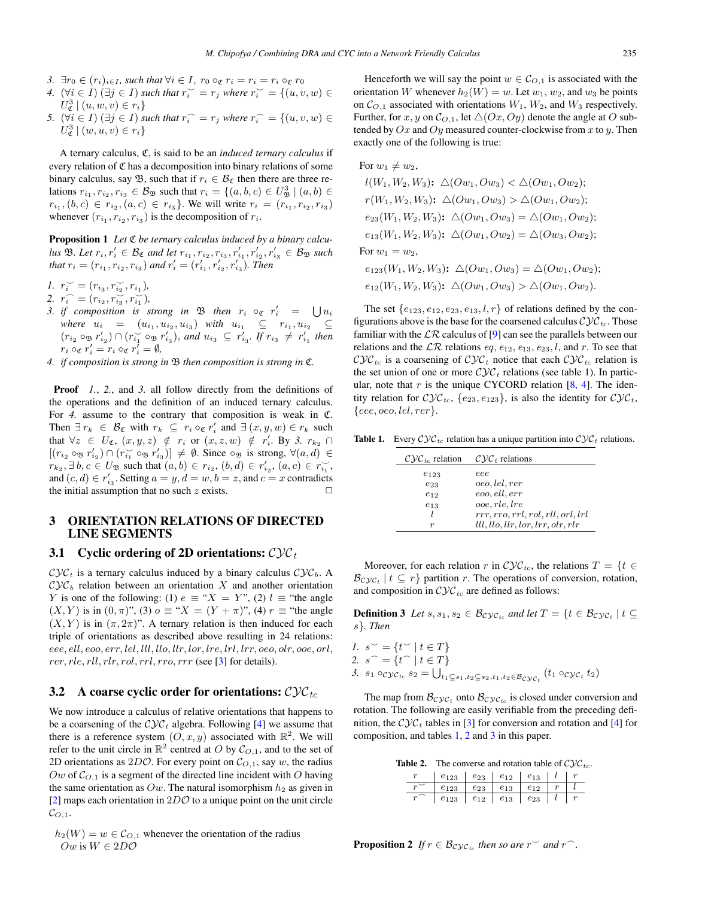- <span id="page-1-0"></span>*3.*  $\exists r_0 \in (r_i)_{i \in I}$ , such that  $\forall i \in I$ ,  $r_0 \circ_{\mathfrak{C}} r_i = r_i = r_i \circ_{\mathfrak{C}} r_0$
- *4.*  $(\forall i \in I) (\exists j \in I)$  *such that*  $r_i^{\sim} = r_j$  *where*  $r_i^{\sim} = \{(u, v, w) \in I\}$  $U_{\mathfrak{C}}^{3} \mid (u, w, v) \in r_{i} \}$
- *5.*  $(\forall i \in I) (\exists j \in I)$  *such that*  $r_i^{\frown} = r_j$  *where*  $r_i^{\frown} = \{(u, v, w) \in I\}$  $U_{\mathfrak{C}}^{3} \mid (w, u, v) \in r_{i} \}$

A ternary calculus, C, is said to be an *induced ternary calculus* if every relation of  $\mathfrak C$  has a decomposition into binary relations of some binary calculus, say  $\mathfrak{B}$ , such that if  $r_i \in \mathcal{B}_{\mathfrak{C}}$  then there are three relations  $r_{i_1}, r_{i_2}, r_{i_3} \in B_{\mathfrak{B}}$  such that  $r_i = \{(a, b, c) \in U_{\mathfrak{B}}^3 \mid (a, b) \in$  $r_{i_1}, (b, c) \in r_{i_2}, (a, c) \in r_{i_3}$ . We will write  $r_i = (r_{i_1}, r_{i_2}, r_{i_3})$ whenever  $(r_{i_1}, r_{i_2}, r_{i_3})$  is the decomposition of  $r_i$ .

**Proposition 1** Let  $\mathfrak C$  *be ternary calculus induced by a binary calcu-* $\mu$ *us*  $\mathfrak{B}$ *. Let*  $r_i, r'_i \in \mathcal{B}_{\mathfrak{C}}$  *and let*  $r_{i_1}, r_{i_2}, r_{i_3}, r'_{i_1}, r'_{i_2}, r'_{i_3} \in \mathcal{B}_{\mathfrak{B}}$  *such that*  $r_i = (r_{i_1}, r_{i_2}, r_{i_3})$  *and*  $r'_i = (r'_{i_1}, r'_{i_2}, r'_{i_3})$ *. Then* 

- *1.*  $r_i^{\smile} = (r_{i_3}, r_{i_2}^{\smile}, r_{i_1}),$
- 2.  $r_i^{\frown} = (r_{i_2}, r_{i_3}^{\frown}, r_{i_1}^{\frown})$
- *3. if composition is strong in*  $\mathfrak{B}$  *then*  $r_i \circ_{\mathfrak{C}} r'_i = \bigcup u_i$ *where*  $u_i = (u_{i_1}, u_{i_2}, u_{i_3})$  *with*  $u_{i_1} \subseteq r_{i_1}, u_{i_2}$  $(r_{i_2} \circ_{\mathfrak{B}} r'_{i_2}) \cap (r_{i_1} \circ_{\mathfrak{B}} r'_{i_3}),$  *and*  $u_{i_3} \subseteq r'_{i_3}$ . If  $r_{i_3} \neq r'_{i_1}$  then  $r_i \circ \varepsilon r'_i = r_i \circ \varepsilon r'_i = \emptyset,$
- *4. if composition is strong in* B *then composition is strong in* C*.*

Proof *1.*, *2.*, and *3.* all follow directly from the definitions of the operations and the definition of an induced ternary calculus. For *4.* assume to the contrary that composition is weak in C. Then  $\exists r_k \in \mathcal{B}_{\mathfrak{C}}$  with  $r_k \subseteq r_i \diamond_{\mathfrak{C}} r'_i$  and  $\exists (x, y, w) \in r_k$  such that  $\forall z \in U_{\mathfrak{C}}$ ,  $(x, y, z) \notin r_i$  or  $(x, z, w) \notin r'_i$ . By 3.  $r_{k_2} \cap$  $[(r_{i_2} \circ_B r'_{i_2}) \cap (r_{i_1} \circ_B r'_{i_3})] \neq \emptyset$ . Since  $\circ_B$  is strong,  $\forall (a,d) \in$  $r_{k_2}, \exists b, c \in U_{\mathfrak{B}} \text{ such that } (a, b) \in r_{i_2}, (b, d) \in r'_{i_2}, (a, c) \in r'_{i_1},$ and  $(c, d) \in r'_{i_3}$ . Setting  $a = y, d = w, b = z$ , and  $c = x$  contradicts the initial assumption that no such  $z$  exists.

#### 3 ORIENTATION RELATIONS OF DIRECTED LINE SEGMENTS

#### 3.1 Cyclic ordering of 2D orientations:  $\mathcal{C} \mathcal{Y} \mathcal{C}_t$

 $\mathcal{C} \mathcal{Y} \mathcal{C}_t$  is a ternary calculus induced by a binary calculus  $\mathcal{C} \mathcal{Y} \mathcal{C}_b$ . A  $\mathcal{Cyc}_b$  relation between an orientation X and another orientation Y is one of the following: (1)  $e \equiv "X = Y"$ , (2)  $l \equiv "$ the angle  $(X, Y)$  is in  $(0, \pi)$ ", (3)  $o \equiv "X = (Y + \pi)$ ", (4)  $r \equiv "the angle"$  $(X, Y)$  is in  $(\pi, 2\pi)$ ". A ternary relation is then induced for each triple of orientations as described above resulting in 24 relations: eee, ell, eoo, err, lel, lll, llo, llr, lor, lre, lrl, lrr, oeo, olr, ooe, orl,  $rer, rle, rll, rlr, rol, rrl, rro, rrr$  (see [\[3\]](#page-5-0) for details).

#### 3.2 A coarse cyclic order for orientations:  $\mathcal{C} \mathcal{Y} \mathcal{C}_{tc}$

We now introduce a calculus of relative orientations that happens to be a coarsening of the  $\mathcal{Cyc}_t$  algebra. Following [\[4\]](#page-5-0) we assume that there is a reference system  $(O, x, y)$  associated with  $\mathbb{R}^2$ . We will refer to the unit circle in  $\mathbb{R}^2$  centred at O by  $\mathcal{C}_{O,1}$ , and to the set of 2D orientations as  $2D\mathcal{O}$ . For every point on  $\mathcal{C}_{O,1}$ , say w, the radius Ow of  $\mathcal{C}_{Q,1}$  is a segment of the directed line incident with O having the same orientation as  $Ow$ . The natural isomorphism  $h_2$  as given in [\[2\]](#page-5-0) maps each orientation in  $2D\mathcal{O}$  to a unique point on the unit circle  $\mathcal{C}_{O,1}.$ 

 $h_2(W) = w \in \mathcal{C}_{O,1}$  whenever the orientation of the radius Ow is  $W \in 2D\mathcal{O}$ 

Henceforth we will say the point  $w \in \mathcal{C}_{O,1}$  is associated with the orientation W whenever  $h_2(W) = w$ . Let  $w_1, w_2$ , and  $w_3$  be points on  $\mathcal{C}_{O,1}$  associated with orientations  $W_1, W_2$ , and  $W_3$  respectively. Further, for x, y on  $\mathcal{C}_{O,1}$ , let  $\triangle$  (*Ox*, *Oy*) denote the angle at *O* subtended by  $Ox$  and  $Oy$  measured counter-clockwise from x to y. Then exactly one of the following is true:

For 
$$
w_1 \neq w_2
$$
,  
\n $l(W_1, W_2, W_3)$ :  $\Delta(Ow_1, Ow_3) < \Delta(Ow_1, Ow_2)$ ;  
\n $r(W_1, W_2, W_3)$ :  $\Delta(Ow_1, Ow_3) > \Delta(Ow_1, Ow_2)$ ;  
\n $e_{23}(W_1, W_2, W_3)$ :  $\Delta(Ow_1, Ow_3) = \Delta(Ow_1, Ow_2)$ ;  
\n $e_{13}(W_1, W_2, W_3)$ :  $\Delta(Ow_1, Ow_2) = \Delta(Ow_3, Ow_2)$ ;  
\nFor  $w_1 = w_2$ ,  
\n $e_{123}(W_1, W_2, W_3)$ :  $\Delta(Ow_1, Ow_3) = \Delta(Ow_1, Ow_2)$ ;  
\n $e_{12}(W_1, W_2, W_3)$ :  $\Delta(Ow_1, Ow_3) > \Delta(Ow_1, Ow_2)$ .

The set  $\{e_{123}, e_{12}, e_{23}, e_{13}, l, r\}$  of relations defined by the configurations above is the base for the coarsened calculus  $\mathcal{C} \mathcal{Y} \mathcal{C}_{tc}$ . Those familiar with the  $\mathcal{LR}$  calculus of [\[9\]](#page-5-0) can see the parallels between our relations and the  $\mathcal{LR}$  relations eq, e<sub>12</sub>, e<sub>13</sub>, e<sub>23</sub>, l, and r. To see that  $\mathcal{CVC}_{tc}$  is a coarsening of  $\mathcal{CVC}_{t}$  notice that each  $\mathcal{CVC}_{tc}$  relation is the set union of one or more  $\mathcal{Cyc}_t$  relations (see table 1). In particular, note that r is the unique CYCORD relation  $[8, 4]$ . The identity relation for  $\mathcal{Cyc}_{tc}$ ,  $\{e_{23}, e_{123}\}$ , is also the identity for  $\mathcal{Cyc}_t$ ,  ${eee, oeo, lel, rer}.$ 

**Table 1.** Every  $\mathcal{Cyc}_{tc}$  relation has a unique partition into  $\mathcal{Cyc}_t$  relations.

| $Cyc_{tc}$ relation | $Cyc_t$ relations                 |
|---------------------|-----------------------------------|
| $e_{123}$           | eee.                              |
| $e_{23}$            | oeo, lel, rer                     |
| $e_{12}$            | eoo, ell, err                     |
| $e_{13}$            | ooe, rle, lre                     |
|                     | rrr, rro, rrl, rol, rll, orl, lrl |
| r                   | lll, llo, llr, lor, lrr, olr, rlr |

Moreover, for each relation r in  $\mathcal{CVC}_{tc}$ , the relations  $T = \{t \in$  $\mathcal{B}_{\mathcal{C} \mathcal{Y} \mathcal{C}_t}$   $\mid t \subseteq r$  partition r. The operations of conversion, rotation, and composition in  $\mathcal{Cyc}_{tc}$  are defined as follows:

**Definition 3** *Let*  $s, s_1, s_2 \in \mathcal{B}_{\mathcal{Cyc}_{tc}}$  *and let*  $T = \{t \in \mathcal{B}_{\mathcal{Cyc}_t} | t \subseteq$ s}*. Then*

*1.*  $s^{\sim} = \{t^{\sim} | t \in T\}$ 2.  $s^{\frown} = \{t^{\frown} | t \in T\}$ 3.  $s_1 \circ_{\mathcal{C}} y \mathcal{C}_{tc} s_2 = \bigcup_{t_1 \subseteq s_1, t_2 \subseteq s_2, t_1, t_2 \in \mathcal{B}_{\mathcal{C}} y \mathcal{C}_t} (t_1 \circ_{\mathcal{C}} y \mathcal{C}_t t_2)$ 

The map from  $\mathcal{B}_{\mathcal{Cyc}_t}$  onto  $\mathcal{B}_{\mathcal{Cyc}_{te}}$  is closed under conversion and rotation. The following are easily verifiable from the preceding definition, the  $\mathcal{Cyc}_t$  tables in [\[3\]](#page-5-0) for conversion and rotation and [\[4\]](#page-5-0) for composition, and tables 1, 2 and [3](#page-2-0) in this paper.

**Table 2.** The converse and rotation table of  $\mathcal{C} \mathcal{Y} \mathcal{C}_{tc}$ .

| m | $e_{123}$ | $e_{23}$ | $e_{12}$    | $e_{13}$ | $\sim$ |
|---|-----------|----------|-------------|----------|--------|
|   | $e_{123}$ | $e_{23}$ | $e_{13}$    | $e_{12}$ |        |
|   | $e_{123}$ | $e_{12}$ | $_{e_{13}}$ | $e_{23}$ | c.     |

**Proposition 2** If  $r \in \mathcal{B}_{\text{Cyc}_{tc}}$  then so are  $r \sim$  and  $r \sim$ .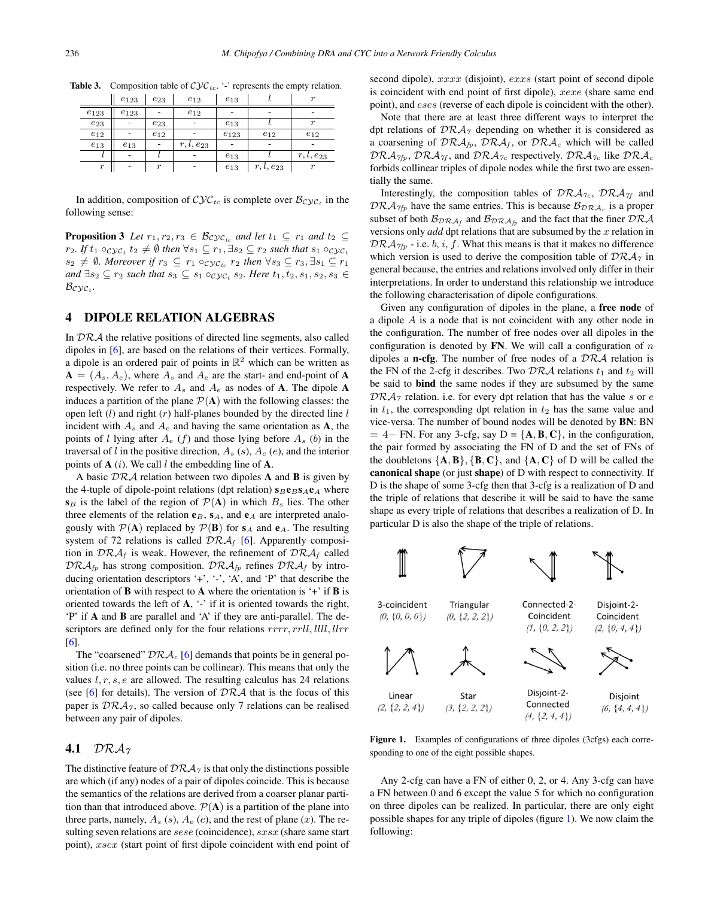|                  | $e_{123}$ | $e_{23}$         | $e_{12}$             | $e_{13}$    |                | $\sim$               |
|------------------|-----------|------------------|----------------------|-------------|----------------|----------------------|
| $e_{123}$        | $e_{123}$ | -                | $e_{12}$             |             |                |                      |
| $e_{23}$         |           | $e_{23}$         |                      | $_{e_{13}}$ |                | $\mathbf{r}$         |
| $e_{12}$         |           | $e_{12}$         |                      | $e_{123}$   | $e_{12}$       | $e_{12}$             |
| $e_{13}$         | $e_{13}$  | ۰                | $r$ .<br>$l, e_{23}$ |             |                |                      |
|                  |           |                  |                      | $e_{13}$    |                | $r$ .<br>$l, e_{23}$ |
| $\boldsymbol{r}$ |           | $\boldsymbol{r}$ | ۰                    | $e_{13}$    | $r, l, e_{23}$ | $\boldsymbol{r}$     |

<span id="page-2-0"></span>**Table 3.** Composition table of  $\mathcal{Cyc}_{tc}$ . '-' represents the empty relation.

In addition, composition of  $\mathcal{Cyc}_{tc}$  is complete over  $\mathcal{B}_{\mathcal{Cyc}_t}$  in the following sense:

**Proposition 3** Let  $r_1, r_2, r_3 \in \mathcal{B}_{\mathcal{Cyc}_{tc}}$  and let  $t_1 \subseteq r_1$  and  $t_2 \subseteq$  $r_2$ *.* If  $t_1 \circ_{\mathcal{C} \mathcal{Y} \mathcal{C}_t} t_2 \neq \emptyset$  then  $\forall s_1 \subseteq r_1, \exists s_2 \subseteq r_2$  such that  $s_1 \circ_{\mathcal{C} \mathcal{Y} \mathcal{C}_t}$  $s_2 \neq \emptyset$ . Moreover if  $r_3 \subseteq r_1 \circ_{\mathcal{Cyc}_{tc}} r_2$  then  $\forall s_3 \subseteq r_3, \exists s_1 \subseteq r_1$ *and*  $\exists s_2$  ⊆  $r_2$  *such that*  $s_3$  ⊆  $s_1 \circ c_2 c_1$   $s_2$ *. Here*  $t_1, t_2, s_1, s_2, s_3$  ∈  $B_{\mathcal{C}\mathcal{V}\mathcal{C}_t}$ .

## 4 DIPOLE RELATION ALGEBRAS

In DRA the relative positions of directed line segments, also called dipoles in [\[6\]](#page-5-0), are based on the relations of their vertices. Formally, a dipole is an ordered pair of points in  $\mathbb{R}^2$  which can be written as  $A = (A_s, A_e)$ , where  $A_s$  and  $A_e$  are the start- and end-point of A respectively. We refer to  $A_s$  and  $A_e$  as nodes of **A**. The dipole **A** induces a partition of the plane  $P(A)$  with the following classes: the open left  $(l)$  and right  $(r)$  half-planes bounded by the directed line  $l$ incident with  $A_s$  and  $A_e$  and having the same orientation as **A**, the points of l lying after  $A_e$  (f) and those lying before  $A_s$  (b) in the traversal of l in the positive direction,  $A_s$  (s),  $A_e$  (e), and the interior points of  $A$  (i). We call l the embedding line of  $A$ .

A basic  $\mathcal{DRA}$  relation between two dipoles  $A$  and  $B$  is given by the 4-tuple of dipole-point relations (dpt relation)  $s_B \mathbf{e}_B s_A \mathbf{e}_A$  where  $s_B$  is the label of the region of  $\mathcal{P}(A)$  in which  $B_s$  lies. The other three elements of the relation  $e_B$ ,  $s_A$ , and  $e_A$  are interpreted analogously with  $P(A)$  replaced by  $P(B)$  for  $s_A$  and  $e_A$ . The resulting system of 72 relations is called  $\mathcal{DRA}_f$  [\[6\]](#page-5-0). Apparently composition in  $\mathcal{DRA}_f$  is weak. However, the refinement of  $\mathcal{DRA}_f$  called  $\mathcal{DRA}_{fp}$  has strong composition.  $\mathcal{DRA}_{fp}$  refines  $\mathcal{DRA}_f$  by introducing orientation descriptors '+', '-', 'A', and 'P' that describe the orientation of **B** with respect to **A** where the orientation is  $\div$  if **B** is oriented towards the left of  $A$ , '-' if it is oriented towards the right, 'P' if A and B are parallel and 'A' if they are anti-parallel. The descriptors are defined only for the four relations  $rrrr, rrll, llll, llrr$ [\[6\]](#page-5-0).

The "coarsened"  $\mathcal{DRA}_c$  [\[6\]](#page-5-0) demands that points be in general position (i.e. no three points can be collinear). This means that only the values  $l, r, s, e$  are allowed. The resulting calculus has 24 relations (see [\[6\]](#page-5-0) for details). The version of  $\mathcal{DRA}$  that is the focus of this paper is  $\mathcal{DRA}_{7}$ , so called because only 7 relations can be realised between any pair of dipoles.

## 4.1 DR $A_7$

The distinctive feature of  $\mathcal{DRA}_{\gamma}$  is that only the distinctions possible are which (if any) nodes of a pair of dipoles coincide. This is because the semantics of the relations are derived from a coarser planar partition than that introduced above.  $\mathcal{P}(\mathbf{A})$  is a partition of the plane into three parts, namely,  $A_s$  (s),  $A_e$  (e), and the rest of plane (x). The resulting seven relations are *sese* (coincidence), *sxsx* (share same start point), xsex (start point of first dipole coincident with end point of

second dipole), xxxx (disjoint), exxs (start point of second dipole is coincident with end point of first dipole), xexe (share same end point), and eses (reverse of each dipole is coincident with the other).

Note that there are at least three different ways to interpret the dpt relations of  $\mathcal{DRA}_{\gamma}$  depending on whether it is considered as a coarsening of  $DRA_{fp}$ ,  $DRA_f$ , or  $DRA_c$  which will be called  $DRA_{7fp}$ ,  $DRA_{7f}$ , and  $DRA_{7c}$  respectively.  $DRA_{7c}$  like  $DRA_{c}$ forbids collinear triples of dipole nodes while the first two are essentially the same.

Interestingly, the composition tables of  $\mathcal{DRA}_{7c}$ ,  $\mathcal{DRA}_{7f}$  and  $DRA_{7fp}$  have the same entries. This is because  $B_{DRA_c}$  is a proper subset of both  $\mathcal{B}_{\mathcal{DRA}_f}$  and  $\mathcal{B}_{\mathcal{DRA}_f}$  and the fact that the finer  $\mathcal{DRA}$ versions only *add* dpt relations that are subsumed by the x relation in  $DRA_{7fp}$  - i.e. b, i, f. What this means is that it makes no difference which version is used to derive the composition table of  $\mathcal{DRA}_{7}$  in general because, the entries and relations involved only differ in their interpretations. In order to understand this relationship we introduce the following characterisation of dipole configurations.

Given any configuration of dipoles in the plane, a free node of a dipole A is a node that is not coincident with any other node in the configuration. The number of free nodes over all dipoles in the configuration is denoted by  $FN$ . We will call a configuration of n dipoles a **n-cfg**. The number of free nodes of a  $\mathcal{DRA}$  relation is the FN of the 2-cfg it describes. Two  $\mathcal{DRA}$  relations  $t_1$  and  $t_2$  will be said to bind the same nodes if they are subsumed by the same  $DRA<sub>7</sub>$  relation. i.e. for every dpt relation that has the value s or e in  $t_1$ , the corresponding dpt relation in  $t_2$  has the same value and vice-versa. The number of bound nodes will be denoted by BN: BN  $= 4 - FN$ . For any 3-cfg, say D = { $\mathbf{A}, \mathbf{B}, \mathbf{C}$ }, in the configuration, the pair formed by associating the FN of D and the set of FNs of the doubletons  ${A, B}$ ,  ${B, C}$ , and  ${A, C}$  of D will be called the canonical shape (or just shape) of D with respect to connectivity. If D is the shape of some 3-cfg then that 3-cfg is a realization of D and the triple of relations that describe it will be said to have the same shape as every triple of relations that describes a realization of D. In particular D is also the shape of the triple of relations.

3-coincident Triangular Connected-2-Disjoint-2- $(0, \{0, 0, 0\})$  $(0, \{2, 2, 2\})$ Coincident Coincident  $(1, \{0, 2, 2\})$  $(2, \{0, 4, 4\})$ Disioint-2-Linear Disjoint Star Connected  $(2, \{2, 2, 4\})$  $(3, \{2, 2, 2\})$  $(6, \{4, 4, 4\})$  $(4, \{2, 4, 4\})$ 

Figure 1. Examples of configurations of three dipoles (3cfgs) each corresponding to one of the eight possible shapes.

Any 2-cfg can have a FN of either 0, 2, or 4. Any 3-cfg can have a FN between 0 and 6 except the value 5 for which no configuration on three dipoles can be realized. In particular, there are only eight possible shapes for any triple of dipoles (figure 1). We now claim the following: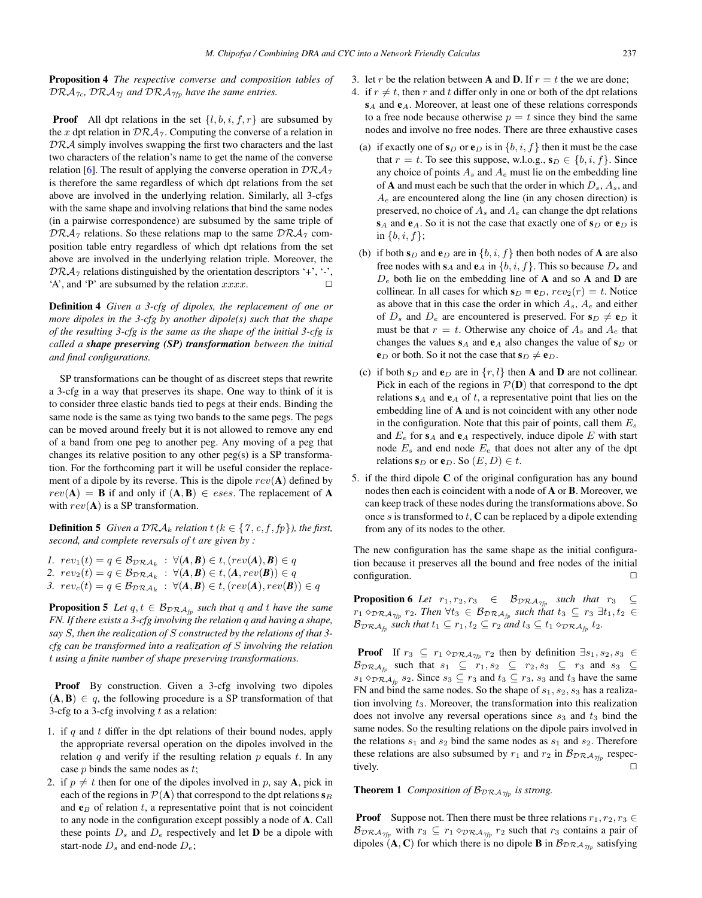<span id="page-3-0"></span>Proposition 4 *The respective converse and composition tables of*  $DRA_{7c}$ ,  $DRA_{7f}$  and  $DRA_{7f}$  have the same entries.

**Proof** All dpt relations in the set  $\{l, b, i, f, r\}$  are subsumed by the x dpt relation in  $\mathcal{DRA}_{\mathcal{I}}$ . Computing the converse of a relation in  $DRA$  simply involves swapping the first two characters and the last two characters of the relation's name to get the name of the converse relation [\[6\]](#page-5-0). The result of applying the converse operation in  $\mathcal{DRA}_{\gamma}$ is therefore the same regardless of which dpt relations from the set above are involved in the underlying relation. Similarly, all 3-cfgs with the same shape and involving relations that bind the same nodes (in a pairwise correspondence) are subsumed by the same triple of  $DRA_7$  relations. So these relations map to the same  $DRA_7$  composition table entry regardless of which dpt relations from the set above are involved in the underlying relation triple. Moreover, the  $\mathcal{DRA}_{\gamma}$  relations distinguished by the orientation descriptors '+', '-', 'A' and 'P' are subsumed by the relation  $xxxx$ 'A', and 'P' are subsumed by the relation  $xxxx$ .

Definition 4 *Given a 3-cfg of dipoles, the replacement of one or more dipoles in the 3-cfg by another dipole(s) such that the shape of the resulting 3-cfg is the same as the shape of the initial 3-cfg is called a shape preserving (SP) transformation between the initial and final configurations.*

SP transformations can be thought of as discreet steps that rewrite a 3-cfg in a way that preserves its shape. One way to think of it is to consider three elastic bands tied to pegs at their ends. Binding the same node is the same as tying two bands to the same pegs. The pegs can be moved around freely but it is not allowed to remove any end of a band from one peg to another peg. Any moving of a peg that changes its relative position to any other peg(s) is a SP transformation. For the forthcoming part it will be useful consider the replacement of a dipole by its reverse. This is the dipole  $rev(A)$  defined by  $rev(A) = B$  if and only if  $(A, B) \in e$ ses. The replacement of A with  $rev(A)$  is a SP transformation.

**Definition 5** Given a  $\mathcal{DRA}_k$  relation  $t$  ( $k \in \{7, c, f, fp\}$ ), the first, *second, and complete reversals of* t *are given by :*

- *1.*  $rev_1(t) = q \in \mathcal{B}_{\mathcal{DRA}_k}$  :  $\forall (A, B) \in t, (rev(A), B) \in q$ 2.  $rev_2(t) = q \in \mathcal{B}_{\mathcal{DRA}_k} : \forall (A, B) \in t, (A, rev(B)) \in q$
- 3.  $rev_c(t) = q \in \mathcal{B}_{\mathcal{DRA}_k}$  :  $\forall (\mathbf{A}, \mathbf{B}) \in t, (rev(\mathbf{A}), rev(\mathbf{B})) \in q$

**Proposition 5** *Let*  $q, t \in \mathcal{B}_{D\mathcal{RA}_{fp}}$  *such that*  $q$  *and*  $t$  *have the same FN. If there exists a 3-cfg involving the relation* q *and having a shape, say* S*, then the realization of* S *constructed by the relations of that 3 cfg can be transformed into a realization of* S *involving the relation* t *using a finite number of shape preserving transformations.*

Proof By construction. Given a 3-cfg involving two dipoles  $(A, B) \in q$ , the following procedure is a SP transformation of that 3-cfg to a 3-cfg involving  $t$  as a relation:

- 1. if  $q$  and  $t$  differ in the dpt relations of their bound nodes, apply the appropriate reversal operation on the dipoles involved in the relation  $q$  and verify if the resulting relation  $p$  equals  $t$ . In any case  $p$  binds the same nodes as  $t$ ;
- 2. if  $p \neq t$  then for one of the dipoles involved in p, say A, pick in each of the regions in  $\mathcal{P}(\mathbf{A})$  that correspond to the dpt relations  $\mathbf{s}_B$ and  $e_B$  of relation t, a representative point that is not coincident to any node in the configuration except possibly a node of A. Call these points  $D_s$  and  $D_e$  respectively and let **D** be a dipole with start-node  $D_s$  and end-node  $D_e$ ;
- 3. let r be the relation between **A** and **D**. If  $r = t$  the we are done;
- 4. if  $r \neq t$ , then r and t differ only in one or both of the dpt relations  $s_A$  and  $e_A$ . Moreover, at least one of these relations corresponds to a free node because otherwise  $p = t$  since they bind the same nodes and involve no free nodes. There are three exhaustive cases
	- (a) if exactly one of  $s_D$  or  $e_D$  is in  $\{b, i, f\}$  then it must be the case that  $r = t$ . To see this suppose, w.l.o.g.,  $s_D \in \{b, i, f\}$ . Since any choice of points  $A_s$  and  $A_e$  must lie on the embedding line of **A** and must each be such that the order in which  $D_s$ ,  $A_s$ , and  $A_e$  are encountered along the line (in any chosen direction) is preserved, no choice of  $A_s$  and  $A_e$  can change the dpt relations  $s_A$  and  $e_A$ . So it is not the case that exactly one of  $s_D$  or  $e_D$  is in  $\{b, i, f\}$ ;
	- (b) if both  $s_D$  and  $e_D$  are in  $\{b, i, f\}$  then both nodes of **A** are also free nodes with  $s_A$  and  $e_A$  in  $\{b, i, f\}$ . This so because  $D_s$  and  $D_e$  both lie on the embedding line of **A** and so **A** and **D** are collinear. In all cases for which  $s_D = e_D$ ,  $rev_2(r) = t$ . Notice as above that in this case the order in which  $A_s$ ,  $A_e$  and either of  $D_s$  and  $D_e$  are encountered is preserved. For  $s_D \neq e_D$  it must be that  $r = t$ . Otherwise any choice of  $A_s$  and  $A_e$  that changes the values  $s_A$  and  $e_A$  also changes the value of  $s_D$  or  $e_D$  or both. So it not the case that  $s_D \neq e_D$ .
	- (c) if both  $s_D$  and  $e_D$  are in  $\{r, l\}$  then **A** and **D** are not collinear. Pick in each of the regions in  $\mathcal{P}(\mathbf{D})$  that correspond to the dpt relations  $s_A$  and  $e_A$  of t, a representative point that lies on the embedding line of A and is not coincident with any other node in the configuration. Note that this pair of points, call them  $E_s$ and  $E_e$  for  $s_A$  and  $e_A$  respectively, induce dipole E with start node  $E_s$  and end node  $E_e$  that does not alter any of the dpt relations  $\mathbf{s}_D$  or  $\mathbf{e}_D$ . So  $(E, D) \in t$ .
- 5. if the third dipole C of the original configuration has any bound nodes then each is coincident with a node of A or B. Moreover, we can keep track of these nodes during the transformations above. So once  $s$  is transformed to  $t$ ,  $C$  can be replaced by a dipole extending from any of its nodes to the other.

The new configuration has the same shape as the initial configuration because it preserves all the bound and free nodes of the initial configuration.

**Proposition 6** *Let*  $r_1, r_2, r_3 \in \mathcal{B}_{\mathcal{D} \mathcal{R} \mathcal{A}_{\mathcal{I} \mathcal{I}_{\mathcal{P}}}$  *such that*  $r_3 \subseteq$  $r_1 \diamond_{\mathcal{DRA}_{\gamma_{fp}}} r_2$ *. Then*  $\forall t_3 \in \mathcal{B}_{\mathcal{DRA}_{fp}}$  *such that*  $t_3 \subseteq r_3 \exists t_1, t_2 \in$  $\mathcal{B}_{\mathcal{D}\mathcal{R}\mathcal{A}_{fp}}$  *such that*  $t_1 \subseteq r_1, t_2 \subseteq r_2$  *and*  $t_3 \subseteq t_1 \diamond_{\mathcal{D}\mathcal{R}\mathcal{A}_{fp}} t_2$ *.* 

**Proof** If  $r_3 \subseteq r_1 \diamond_{\mathcal{DRA}_{\gamma_{fp}}} r_2$  then by definition  $\exists s_1, s_2, s_3 \in$  $\mathcal{B}_{\mathcal{D}\mathcal{R}\mathcal{A}_{fp}}$  such that  $s_1 \subseteq r_1, s_2 \subseteq r_2, s_3 \subseteq r_3$  and  $s_3 \subseteq$  $s_1 \diamond_{\mathcal{DRA}_{\text{fp}}} s_2$ . Since  $s_3 \subseteq r_3$  and  $t_3 \subseteq r_3$ ,  $s_3$  and  $t_3$  have the same FN and bind the same nodes. So the shape of  $s_1, s_2, s_3$  has a realization involving  $t_3$ . Moreover, the transformation into this realization does not involve any reversal operations since  $s_3$  and  $t_3$  bind the same nodes. So the resulting relations on the dipole pairs involved in the relations  $s_1$  and  $s_2$  bind the same nodes as  $s_1$  and  $s_2$ . Therefore these relations are also subsumed by  $r_1$  and  $r_2$  in  $\mathcal{B}_{DRA_{7fp}}$  respectively. tively.  $\Box$ 

**Theorem 1** *Composition of*  $B_{DRA_{7fp}}$  *is strong.* 

**Proof** Suppose not. Then there must be three relations  $r_1, r_2, r_3 \in$  $\mathcal{B}_{\text{DRA}_{\gamma_{fp}}}$  with  $r_3 \subseteq r_1 \diamond_{\text{DRA}_{\gamma_{fp}}} r_2$  such that  $r_3$  contains a pair of dipoles  $(A, C)$  for which there is no dipole **B** in  $\mathcal{B}_{DRA_{7fp}}$  satisfying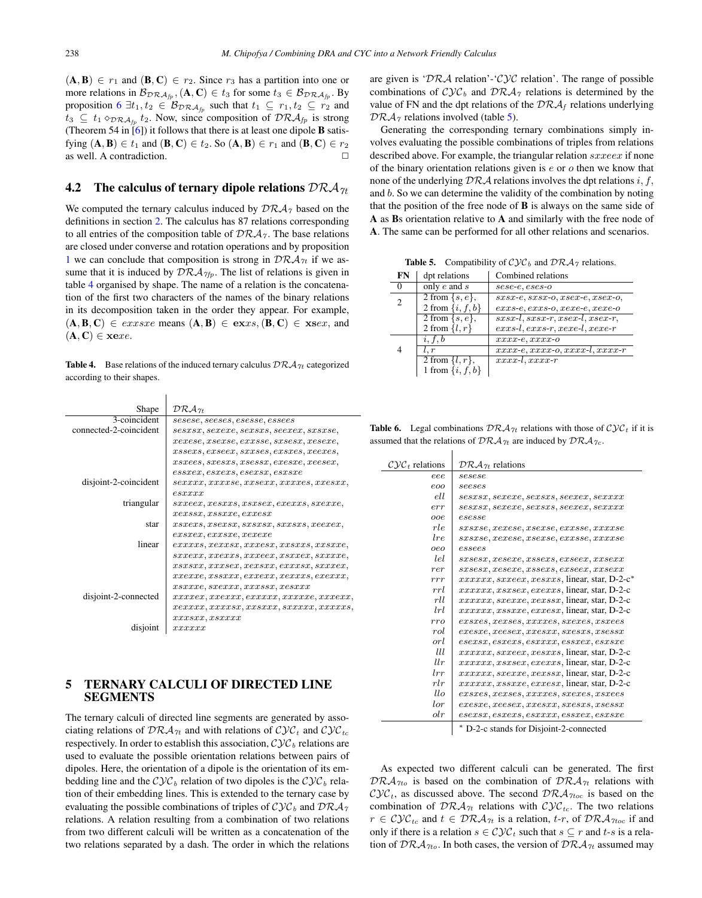<span id="page-4-0"></span> $(A, B) \in r_1$  and  $(B, C) \in r_2$ . Since  $r_3$  has a partition into one or more relations in  $\mathcal{B}_{DRA_{fp}}, (\mathbf{A}, \mathbf{C}) \in t_3$  for some  $t_3 \in \mathcal{B}_{DRA_{fp}}$ . By proposition [6](#page-3-0)  $\exists t_1, t_2 \in \mathcal{B}_{DRA_{fp}}$  such that  $t_1 \subseteq r_1, t_2 \subseteq r_2$  and  $t_3 \subseteq t_1 \diamond_{\mathcal{DRA}_{fn}} t_2$ . Now, since composition of  $\mathcal{DRA}_{fp}$  is strong (Theorem 54 in  $[6]$ ) it follows that there is at least one dipole **B** satisfying  $(A, B) \in t_1$  and  $(B, C) \in t_2$ . So  $(A, B) \in r_1$  and  $(B, C) \in r_2$ as well. A contradiction.

#### 4.2 The calculus of ternary dipole relations  $\mathcal{DRA}_{\mathcal{H}}$

We computed the ternary calculus induced by  $\mathcal{DRA}_{\gamma}$  based on the definitions in section [2.](#page-0-0) The calculus has 87 relations corresponding to all entries of the composition table of  $\mathcal{DRA}_{\gamma}$ . The base relations are closed under converse and rotation operations and by proposition [1](#page-1-0) we can conclude that composition is strong in  $\mathcal{DRA}_{\gamma t}$  if we assume that it is induced by  $\mathcal{DRA}_{\gamma fp}$ . The list of relations is given in table 4 organised by shape. The name of a relation is the concatenation of the first two characters of the names of the binary relations in its decomposition taken in the order they appear. For example,  $(A, B, C) \in$  *exxsxe* means  $(A, B) \in$  **ex**xs,  $(B, C) \in$  **xs**ex, and  $(A, C) \in \text{xe} x e$ .

**Table 4.** Base relations of the induced ternary calculus  $\mathcal{DRA}_{\gamma t}$  categorized according to their shapes.

| Shape                  | $\mathcal{DRA}_{\mathcal{H}}$                                       |
|------------------------|---------------------------------------------------------------------|
| 3-coincident           | sesese, seeses, esesse, essees                                      |
| connected-2-coincident | $sessxs, sexexe, sexsxs, seexex, sxsxse,$                           |
|                        | $xexese, xsexse, exxsse, sxsesx, xesexe,$                           |
|                        | $xssex, exsecx, sxxses, exsxes, xeexes,$                            |
|                        | $xsxees, sxesss, xsessx, exesxe, xeesex,$                           |
|                        | $\emph{essxex}, \emph{essxex}, \emph{essxex}, \emph{essxex}$        |
| disjoint-2-coincident  | sexxxx,xxxxse,xxsexx,xxxxes,xxessxx,                                |
|                        | $\emph{esxxx}$                                                      |
| triangular             | $sxxeex, xesxxs, xsxsex, exexxs, sxexxe,$                           |
|                        | xexssx, xssxxe, exxessx                                             |
| star                   | $xsxexs, xsexsx, sxsxsx, sxxssx, xeexex,$                           |
|                        | $exsxx, exxsx$ e, $xexexe$                                          |
| linear                 | $exxxxs, xexxsx, xxxess, xxsxxs, xxsxxe,$                           |
|                        | $sxxexx, xxexxs, xxxeex, ssxxex, sxxxxe,$                           |
|                        | xsxsxx,xxxxxx,exssxx,exxxxx,sxxxxx,                                 |
|                        |                                                                     |
|                        | $\mathit{xsxxxe}, \mathit{sexxx}, \mathit{xxxssx}, \mathit{xesxxx}$ |
| disjoint-2-connected   | $xxxxex, xxxxxx, exxxxxx, xxxxxe, xxxexx,$                          |
|                        | xxxxx,xxxxx,xxxxx,xxxxx,xxxxx,                                      |
|                        | xxxxxx, xsxxxx                                                      |
| disjoint               | xxxxxx                                                              |

### 5 TERNARY CALCULI OF DIRECTED LINE SEGMENTS

The ternary calculi of directed line segments are generated by associating relations of  $\mathcal{DRA}_{\gamma t}$  and with relations of  $\mathcal{CVC}_t$  and  $\mathcal{CVC}_{tc}$ respectively. In order to establish this association,  $\mathcal{Cyc}_b$  relations are used to evaluate the possible orientation relations between pairs of dipoles. Here, the orientation of a dipole is the orientation of its embedding line and the  $\mathcal{Cyc}_b$  relation of two dipoles is the  $\mathcal{Cyc}_b$  relation of their embedding lines. This is extended to the ternary case by evaluating the possible combinations of triples of  $\mathcal{C} \mathcal{Y} \mathcal{C}_b$  and  $\mathcal{D} \mathcal{R} \mathcal{A}_{\gamma}$ relations. A relation resulting from a combination of two relations from two different calculi will be written as a concatenation of the two relations separated by a dash. The order in which the relations are given is ' $\mathcal{DRA}$  relation'-' $\mathcal{CVC}$  relation'. The range of possible combinations of  $\mathcal{C} \mathcal{Y} \mathcal{C}_b$  and  $\mathcal{D} \mathcal{R} \mathcal{A}_{\gamma}$  relations is determined by the value of FN and the dpt relations of the  $\mathcal{DRA}_f$  relations underlying  $DRA<sub>7</sub>$  relations involved (table 5).

Generating the corresponding ternary combinations simply involves evaluating the possible combinations of triples from relations described above. For example, the triangular relation sxxeex if none of the binary orientation relations given is  $e$  or  $o$  then we know that none of the underlying  $\mathcal{DRA}$  relations involves the dpt relations i, f, and b. So we can determine the validity of the combination by noting that the position of the free node of  $\bf{B}$  is always on the same side of A as Bs orientation relative to A and similarly with the free node of A. The same can be performed for all other relations and scenarios.

**Table 5.** Compatibility of  $\mathcal{Cyc}_b$  and  $\mathcal{DRA}_{\gamma}$  relations.

| dpt relations       | Combined relations                                                                       |
|---------------------|------------------------------------------------------------------------------------------|
| only $e$ and $s$    | $sese-e, eses-o$                                                                         |
| 2 from $\{s, e\},\$ | $sxsx-e, sxsx-o, xsex-e, xsex-o,$                                                        |
|                     | $exxs-e, exxs-o, xexe-e, xexe-o$                                                         |
|                     | $sxsx-l$ , $ssx-r$ , $xsex-l$ , $xsex-r$ ,                                               |
|                     | $exxs-l, exxs-r, xexe-l, xexe-r$                                                         |
| i, f, b             | $xxxx-e,xxxx-o$                                                                          |
| l, r                | $xxxx-e,xxxx-o,xxxx-l,xxxx-r$                                                            |
| 2 from $\{l, r\},\$ | $xxxx$ -l, $xxxx$ -r                                                                     |
|                     |                                                                                          |
|                     | 2 from $\{i, f, b\}$<br>2 from $\{s, e\}$ ,<br>2 from $\{l, r\}$<br>1 from $\{i, f, b\}$ |

**Table 6.** Legal combinations  $\mathcal{DRA}_{\gamma t}$  relations with those of  $\mathcal{CVC}_t$  if it is assumed that the relations of  $\mathcal{DRA}_{\gamma t}$  are induced by  $\mathcal{DRA}_{\gamma c}$ .

| $C\mathcal{Y}C_t$ relations | $\mathcal{DRA}_{\mathcal{H}}$ relations              |
|-----------------------------|------------------------------------------------------|
| eee.                        | sesese                                               |
| eoo                         | seeses                                               |
| ell                         | $sessxs. \,sexexe, \,sexsss, \,seexex, \,sexxxx$     |
| err                         | $sessxs. \,sexexe, \,sexsss, \,seexex, \,sexxxx$     |
| ooe.                        | esesse                                               |
| rle                         | $sxsxse, xexese, xsexse, exxsse, xxxxse$             |
| lre                         | $ssxsxe, xexese, xsexse, exxsse, xxxxse$             |
| oeo                         | essees                                               |
| lel                         | $stsess. \,xesexe. \,xssexs.\,exseex. \,xssexx$      |
| rer                         | $stsess. \,xesexe. \,xssexs.\,exseex. \,xssexx$      |
| rrr                         | $xxxxxx$ , saxeex, xesxxs, linear, star, D-2-c*      |
| rrl                         | $xxxxxx, xssesex, exexxs$ , linear, star, D-2-c      |
| rll                         | $xxxxxx$ , sxexxe, xexssx, linear, star, D-2-c       |
| lrl                         | $xxxxxx, xssxxe, exxessx$ , linear, star, D-2-c      |
| rro                         | $exsses, xexses, xxxxes, sxexes, xsxees$             |
| rol                         | $exesse, xeesex, xxesxx, sxesxs, xsessx$             |
| orl                         | $\it{esexsx, esxexs, esxxxx, essxex, esxsxe}$        |
| Ш                           | $xxxxxx$ , $sxxeex$ , $xesxxs$ , linear, star, D-2-c |
| $_{llr}$                    | $xxxxxx, xsxsex, exexxs$ , linear, star, D-2-c       |
| $_{lrr}$                    | xxxxxx, sxexxe, xexssx, linear, star, D-2-c          |
| rlr                         | $xxxxxx, xssxxe, exxessx$ , linear, star, D-2-c      |
| $l\n $                      | $exsses, xexses, xxxxes, sxexes, xsxees$             |
| lor                         | $exesse, xeesex, xxesxx, sxesxs, xsessx$             |
| $_{olr}$                    | $\it{esexsx, esxexs, esxxxx, essxex, esxsxe}$        |
|                             |                                                      |

∗ D-2-c stands for Disjoint-2-connected

As expected two different calculi can be generated. The first  $DRA_{7to}$  is based on the combination of  $DRA_{7t}$  relations with  $\mathcal{C} \mathcal{Y} \mathcal{C}_t$ , as discussed above. The second  $\mathcal{DRA}_{\mathcal{T} \mathcal{U} \mathcal{C}}$  is based on the combination of  $\mathcal{DRA}_{7t}$  relations with  $\mathcal{CVC}_{tc}$ . The two relations  $r \in \mathcal{Cyc}_{tc}$  and  $t \in \mathcal{DRA}_{\gamma t}$  is a relation,  $t\text{-}r$ , of  $\mathcal{DRA}_{\gamma t}$  if and only if there is a relation  $s \in \mathcal{Cyc}_t$  such that  $s \subseteq r$  and  $t-s$  is a relation of  $\mathcal{DRA}_{7to}$ . In both cases, the version of  $\mathcal{DRA}_{7t}$  assumed may